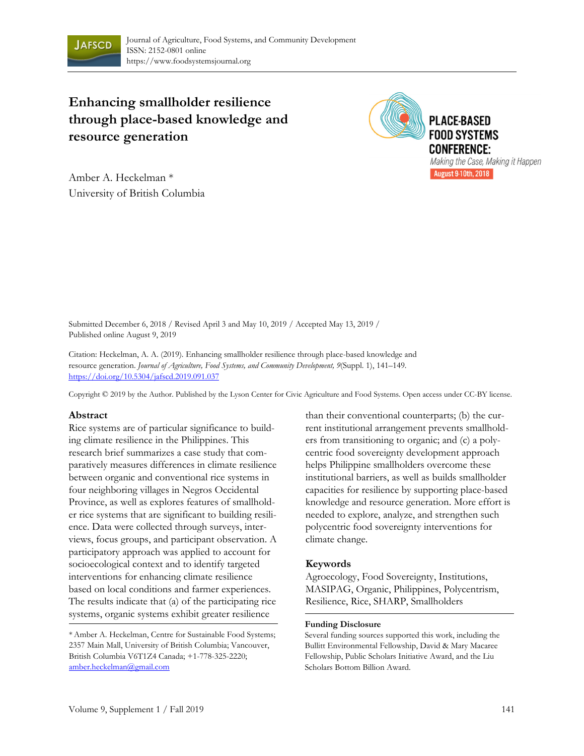

# **Enhancing smallholder resilience through place-based knowledge and resource generation**



Amber A. Heckelman \* University of British Columbia

Submitted December 6, 2018 / Revised April 3 and May 10, 2019 / Accepted May 13, 2019 / Published online August 9, 2019

Citation: Heckelman, A. A. (2019). Enhancing smallholder resilience through place-based knowledge and resource generation. *Journal of Agriculture, Food Systems, and Community Development, 9*(Suppl. 1), 141–149*.* https://doi.org/10.5304/jafscd.2019.091.037

Copyright © 2019 by the Author. Published by the Lyson Center for Civic Agriculture and Food Systems. Open access under CC-BY license.

#### **Abstract**

Rice systems are of particular significance to building climate resilience in the Philippines. This research brief summarizes a case study that comparatively measures differences in climate resilience between organic and conventional rice systems in four neighboring villages in Negros Occidental Province, as well as explores features of smallholder rice systems that are significant to building resilience. Data were collected through surveys, interviews, focus groups, and participant observation. A participatory approach was applied to account for socioecological context and to identify targeted interventions for enhancing climate resilience based on local conditions and farmer experiences. The results indicate that (a) of the participating rice systems, organic systems exhibit greater resilience

than their conventional counterparts; (b) the current institutional arrangement prevents smallholders from transitioning to organic; and (c) a polycentric food sovereignty development approach helps Philippine smallholders overcome these institutional barriers, as well as builds smallholder capacities for resilience by supporting place-based knowledge and resource generation. More effort is needed to explore, analyze, and strengthen such polycentric food sovereignty interventions for climate change.

#### **Keywords**

Agroecology, Food Sovereignty, Institutions, MASIPAG, Organic, Philippines, Polycentrism, Resilience, Rice, SHARP, Smallholders

#### **Funding Disclosure**

Several funding sources supported this work, including the Bullitt Environmental Fellowship, David & Mary Macaree Fellowship, Public Scholars Initiative Award, and the Liu Scholars Bottom Billion Award.

<sup>\*</sup>Amber A. Heckelman, Centre for Sustainable Food Systems; 2357 Main Mall, University of British Columbia; Vancouver, British Columbia V6T1Z4 Canada; +1-778-325-2220; amber.heckelman@gmail.com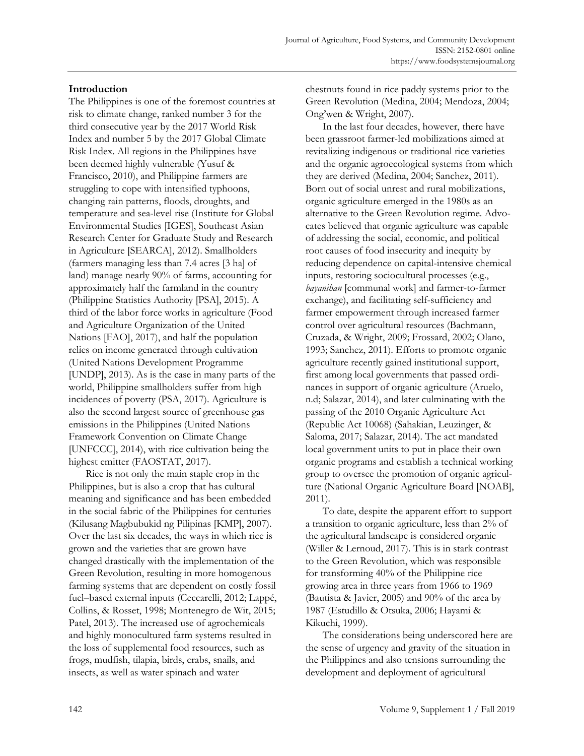# **Introduction**

The Philippines is one of the foremost countries at risk to climate change, ranked number 3 for the third consecutive year by the 2017 World Risk Index and number 5 by the 2017 Global Climate Risk Index. All regions in the Philippines have been deemed highly vulnerable (Yusuf & Francisco, 2010), and Philippine farmers are struggling to cope with intensified typhoons, changing rain patterns, floods, droughts, and temperature and sea-level rise (Institute for Global Environmental Studies [IGES], Southeast Asian Research Center for Graduate Study and Research in Agriculture [SEARCA], 2012). Smallholders (farmers managing less than 7.4 acres [3 ha] of land) manage nearly 90% of farms, accounting for approximately half the farmland in the country (Philippine Statistics Authority [PSA], 2015). A third of the labor force works in agriculture (Food and Agriculture Organization of the United Nations [FAO], 2017), and half the population relies on income generated through cultivation (United Nations Development Programme [UNDP], 2013). As is the case in many parts of the world, Philippine smallholders suffer from high incidences of poverty (PSA, 2017). Agriculture is also the second largest source of greenhouse gas emissions in the Philippines (United Nations Framework Convention on Climate Change [UNFCCC], 2014), with rice cultivation being the highest emitter (FAOSTAT, 2017).

 Rice is not only the main staple crop in the Philippines, but is also a crop that has cultural meaning and significance and has been embedded in the social fabric of the Philippines for centuries (Kilusang Magbubukid ng Pilipinas [KMP], 2007). Over the last six decades, the ways in which rice is grown and the varieties that are grown have changed drastically with the implementation of the Green Revolution, resulting in more homogenous farming systems that are dependent on costly fossil fuel–based external inputs (Ceccarelli, 2012; Lappé, Collins, & Rosset, 1998; Montenegro de Wit, 2015; Patel, 2013). The increased use of agrochemicals and highly monocultured farm systems resulted in the loss of supplemental food resources, such as frogs, mudfish, tilapia, birds, crabs, snails, and insects, as well as water spinach and water

chestnuts found in rice paddy systems prior to the Green Revolution (Medina, 2004; Mendoza, 2004; Ong'wen & Wright, 2007).

 In the last four decades, however, there have been grassroot farmer-led mobilizations aimed at revitalizing indigenous or traditional rice varieties and the organic agroecological systems from which they are derived (Medina, 2004; Sanchez, 2011). Born out of social unrest and rural mobilizations, organic agriculture emerged in the 1980s as an alternative to the Green Revolution regime. Advocates believed that organic agriculture was capable of addressing the social, economic, and political root causes of food insecurity and inequity by reducing dependence on capital-intensive chemical inputs, restoring sociocultural processes (e.g., *bayanihan* [communal work] and farmer-to-farmer exchange), and facilitating self-sufficiency and farmer empowerment through increased farmer control over agricultural resources (Bachmann, Cruzada, & Wright, 2009; Frossard, 2002; Olano, 1993; Sanchez, 2011). Efforts to promote organic agriculture recently gained institutional support, first among local governments that passed ordinances in support of organic agriculture (Aruelo, n.d; Salazar, 2014), and later culminating with the passing of the 2010 Organic Agriculture Act (Republic Act 10068) (Sahakian, Leuzinger, & Saloma, 2017; Salazar, 2014). The act mandated local government units to put in place their own organic programs and establish a technical working group to oversee the promotion of organic agriculture (National Organic Agriculture Board [NOAB], 2011)*.*

 To date, despite the apparent effort to support a transition to organic agriculture, less than 2% of the agricultural landscape is considered organic (Willer & Lernoud, 2017). This is in stark contrast to the Green Revolution, which was responsible for transforming 40% of the Philippine rice growing area in three years from 1966 to 1969 (Bautista & Javier, 2005) and 90% of the area by 1987 (Estudillo & Otsuka, 2006; Hayami & Kikuchi, 1999).

 The considerations being underscored here are the sense of urgency and gravity of the situation in the Philippines and also tensions surrounding the development and deployment of agricultural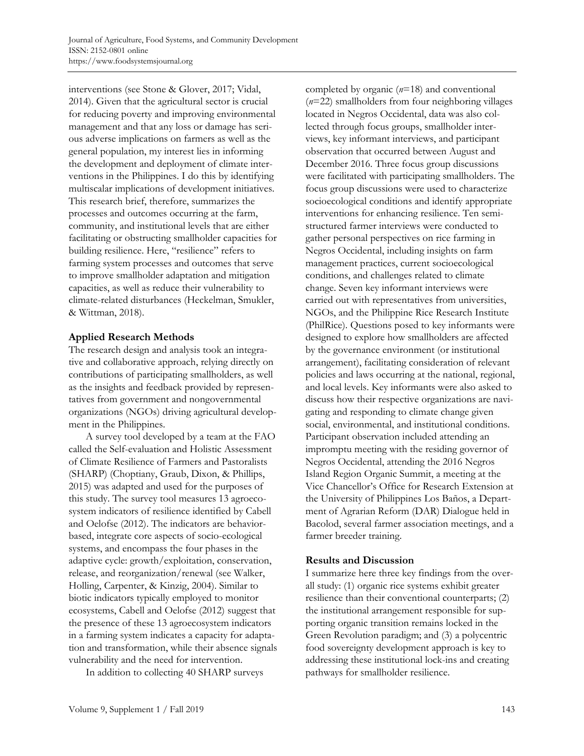interventions (see Stone & Glover, 2017; Vidal, 2014). Given that the agricultural sector is crucial for reducing poverty and improving environmental management and that any loss or damage has serious adverse implications on farmers as well as the general population, my interest lies in informing the development and deployment of climate interventions in the Philippines. I do this by identifying multiscalar implications of development initiatives. This research brief, therefore, summarizes the processes and outcomes occurring at the farm, community, and institutional levels that are either facilitating or obstructing smallholder capacities for building resilience. Here, "resilience" refers to farming system processes and outcomes that serve to improve smallholder adaptation and mitigation capacities, as well as reduce their vulnerability to climate-related disturbances (Heckelman, Smukler, & Wittman, 2018).

# **Applied Research Methods**

The research design and analysis took an integrative and collaborative approach, relying directly on contributions of participating smallholders, as well as the insights and feedback provided by representatives from government and nongovernmental organizations (NGOs) driving agricultural development in the Philippines.

 A survey tool developed by a team at the FAO called the Self-evaluation and Holistic Assessment of Climate Resilience of Farmers and Pastoralists (SHARP) (Choptiany, Graub, Dixon, & Phillips, 2015) was adapted and used for the purposes of this study. The survey tool measures 13 agroecosystem indicators of resilience identified by Cabell and Oelofse (2012). The indicators are behaviorbased, integrate core aspects of socio-ecological systems, and encompass the four phases in the adaptive cycle: growth/exploitation, conservation, release, and reorganization/renewal (see Walker, Holling, Carpenter, & Kinzig, 2004). Similar to biotic indicators typically employed to monitor ecosystems, Cabell and Oelofse (2012) suggest that the presence of these 13 agroecosystem indicators in a farming system indicates a capacity for adaptation and transformation, while their absence signals vulnerability and the need for intervention.

In addition to collecting 40 SHARP surveys

completed by organic (*n*=18) and conventional (*n*=22) smallholders from four neighboring villages located in Negros Occidental, data was also collected through focus groups, smallholder interviews, key informant interviews, and participant observation that occurred between August and December 2016. Three focus group discussions were facilitated with participating smallholders. The focus group discussions were used to characterize socioecological conditions and identify appropriate interventions for enhancing resilience. Ten semistructured farmer interviews were conducted to gather personal perspectives on rice farming in Negros Occidental, including insights on farm management practices, current socioecological conditions, and challenges related to climate change. Seven key informant interviews were carried out with representatives from universities, NGOs, and the Philippine Rice Research Institute (PhilRice). Questions posed to key informants were designed to explore how smallholders are affected by the governance environment (or institutional arrangement), facilitating consideration of relevant policies and laws occurring at the national, regional, and local levels. Key informants were also asked to discuss how their respective organizations are navigating and responding to climate change given social, environmental, and institutional conditions. Participant observation included attending an impromptu meeting with the residing governor of Negros Occidental, attending the 2016 Negros Island Region Organic Summit, a meeting at the Vice Chancellor's Office for Research Extension at the University of Philippines Los Baños, a Department of Agrarian Reform (DAR) Dialogue held in Bacolod, several farmer association meetings, and a farmer breeder training.

# **Results and Discussion**

I summarize here three key findings from the overall study: (1) organic rice systems exhibit greater resilience than their conventional counterparts; (2) the institutional arrangement responsible for supporting organic transition remains locked in the Green Revolution paradigm; and (3) a polycentric food sovereignty development approach is key to addressing these institutional lock-ins and creating pathways for smallholder resilience.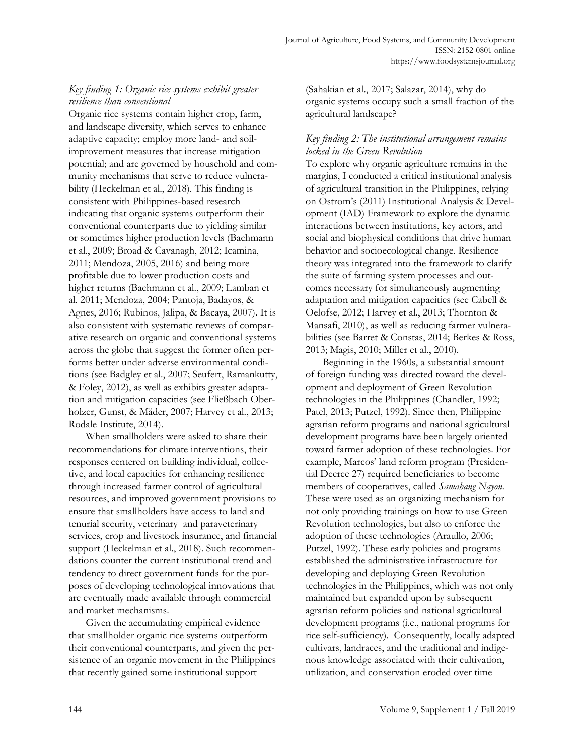# *Key finding 1: Organic rice systems exhibit greater resilience than conventional*

Organic rice systems contain higher crop, farm, and landscape diversity, which serves to enhance adaptive capacity; employ more land- and soilimprovement measures that increase mitigation potential; and are governed by household and community mechanisms that serve to reduce vulnerability (Heckelman et al., 2018). This finding is consistent with Philippines-based research indicating that organic systems outperform their conventional counterparts due to yielding similar or sometimes higher production levels (Bachmann et al., 2009; Broad & Cavanagh, 2012; Icamina, 2011; Mendoza, 2005, 2016) and being more profitable due to lower production costs and higher returns (Bachmann et al., 2009; Lamban et al. 2011; Mendoza, 2004; Pantoja, Badayos, & Agnes, 2016; Rubinos, Jalipa, & Bacaya, 2007). It is also consistent with systematic reviews of comparative research on organic and conventional systems across the globe that suggest the former often performs better under adverse environmental conditions (see Badgley et al., 2007; Seufert, Ramankutty, & Foley, 2012), as well as exhibits greater adaptation and mitigation capacities (see Fließbach Oberholzer, Gunst, & Mäder, 2007; Harvey et al., 2013; Rodale Institute, 2014).

 When smallholders were asked to share their recommendations for climate interventions, their responses centered on building individual, collective, and local capacities for enhancing resilience through increased farmer control of agricultural resources, and improved government provisions to ensure that smallholders have access to land and tenurial security, veterinary and paraveterinary services, crop and livestock insurance, and financial support (Heckelman et al., 2018). Such recommendations counter the current institutional trend and tendency to direct government funds for the purposes of developing technological innovations that are eventually made available through commercial and market mechanisms.

 Given the accumulating empirical evidence that smallholder organic rice systems outperform their conventional counterparts, and given the persistence of an organic movement in the Philippines that recently gained some institutional support

(Sahakian et al., 2017; Salazar, 2014), why do organic systems occupy such a small fraction of the agricultural landscape?

# *Key finding 2: The institutional arrangement remains locked in the Green Revolution*

To explore why organic agriculture remains in the margins, I conducted a critical institutional analysis of agricultural transition in the Philippines, relying on Ostrom's (2011) Institutional Analysis & Development (IAD) Framework to explore the dynamic interactions between institutions, key actors, and social and biophysical conditions that drive human behavior and socioecological change. Resilience theory was integrated into the framework to clarify the suite of farming system processes and outcomes necessary for simultaneously augmenting adaptation and mitigation capacities (see Cabell & Oelofse, 2012; Harvey et al., 2013; Thornton & Mansafi, 2010), as well as reducing farmer vulnerabilities (see Barret & Constas, 2014; Berkes & Ross, 2013; Magis, 2010; Miller et al., 2010).

 Beginning in the 1960s, a substantial amount of foreign funding was directed toward the development and deployment of Green Revolution technologies in the Philippines (Chandler, 1992; Patel, 2013; Putzel, 1992). Since then, Philippine agrarian reform programs and national agricultural development programs have been largely oriented toward farmer adoption of these technologies. For example, Marcos' land reform program (Presidential Decree 27) required beneficiaries to become members of cooperatives, called *Samahang Nayon*. These were used as an organizing mechanism for not only providing trainings on how to use Green Revolution technologies, but also to enforce the adoption of these technologies (Araullo, 2006; Putzel, 1992). These early policies and programs established the administrative infrastructure for developing and deploying Green Revolution technologies in the Philippines, which was not only maintained but expanded upon by subsequent agrarian reform policies and national agricultural development programs (i.e., national programs for rice self-sufficiency). Consequently, locally adapted cultivars, landraces, and the traditional and indigenous knowledge associated with their cultivation, utilization, and conservation eroded over time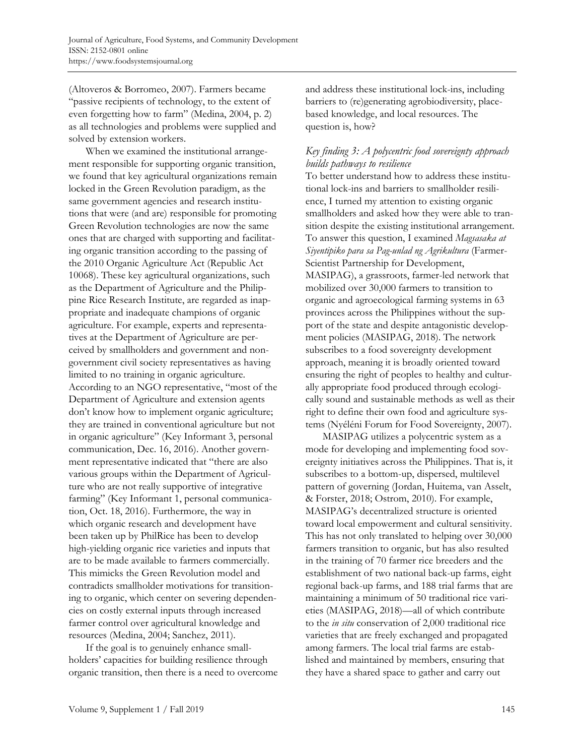(Altoveros & Borromeo, 2007). Farmers became "passive recipients of technology, to the extent of even forgetting how to farm" (Medina, 2004, p. 2) as all technologies and problems were supplied and solved by extension workers.

 When we examined the institutional arrangement responsible for supporting organic transition, we found that key agricultural organizations remain locked in the Green Revolution paradigm, as the same government agencies and research institutions that were (and are) responsible for promoting Green Revolution technologies are now the same ones that are charged with supporting and facilitating organic transition according to the passing of the 2010 Organic Agriculture Act (Republic Act 10068). These key agricultural organizations, such as the Department of Agriculture and the Philippine Rice Research Institute, are regarded as inappropriate and inadequate champions of organic agriculture. For example, experts and representatives at the Department of Agriculture are perceived by smallholders and government and nongovernment civil society representatives as having limited to no training in organic agriculture. According to an NGO representative, "most of the Department of Agriculture and extension agents don't know how to implement organic agriculture; they are trained in conventional agriculture but not in organic agriculture" (Key Informant 3, personal communication, Dec. 16, 2016). Another government representative indicated that "there are also various groups within the Department of Agriculture who are not really supportive of integrative farming" (Key Informant 1, personal communication, Oct. 18, 2016). Furthermore, the way in which organic research and development have been taken up by PhilRice has been to develop high-yielding organic rice varieties and inputs that are to be made available to farmers commercially. This mimicks the Green Revolution model and contradicts smallholder motivations for transitioning to organic, which center on severing dependencies on costly external inputs through increased farmer control over agricultural knowledge and resources (Medina, 2004; Sanchez, 2011).

 If the goal is to genuinely enhance smallholders' capacities for building resilience through organic transition, then there is a need to overcome and address these institutional lock-ins, including barriers to (re)generating agrobiodiversity, placebased knowledge, and local resources. The question is, how?

# *Key finding 3: A polycentric food sovereignty approach builds pathways to resilience*

To better understand how to address these institutional lock-ins and barriers to smallholder resilience, I turned my attention to existing organic smallholders and asked how they were able to transition despite the existing institutional arrangement. To answer this question, I examined *Magsasaka at Siyentipiko para sa Pag-unlad ng Agrikultura* (Farmer-Scientist Partnership for Development, MASIPAG), a grassroots, farmer-led network that mobilized over 30,000 farmers to transition to organic and agroecological farming systems in 63 provinces across the Philippines without the support of the state and despite antagonistic development policies (MASIPAG, 2018). The network subscribes to a food sovereignty development approach, meaning it is broadly oriented toward ensuring the right of peoples to healthy and culturally appropriate food produced through ecologically sound and sustainable methods as well as their right to define their own food and agriculture systems (Nyéléni Forum for Food Sovereignty, 2007).

 MASIPAG utilizes a polycentric system as a mode for developing and implementing food sovereignty initiatives across the Philippines. That is, it subscribes to a bottom-up, dispersed, multilevel pattern of governing (Jordan, Huitema, van Asselt, & Forster, 2018; Ostrom, 2010). For example, MASIPAG's decentralized structure is oriented toward local empowerment and cultural sensitivity. This has not only translated to helping over 30,000 farmers transition to organic, but has also resulted in the training of 70 farmer rice breeders and the establishment of two national back-up farms, eight regional back-up farms, and 188 trial farms that are maintaining a minimum of 50 traditional rice varieties (MASIPAG, 2018)—all of which contribute to the *in situ* conservation of 2,000 traditional rice varieties that are freely exchanged and propagated among farmers. The local trial farms are established and maintained by members, ensuring that they have a shared space to gather and carry out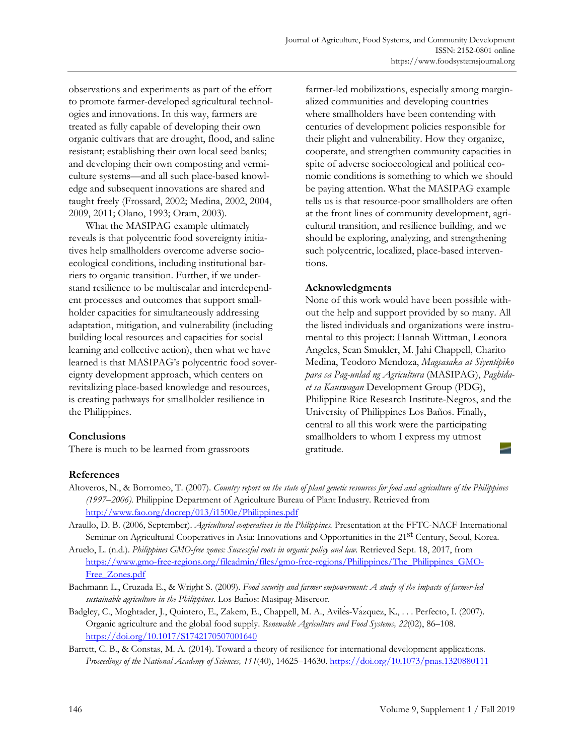observations and experiments as part of the effort to promote farmer-developed agricultural technologies and innovations. In this way, farmers are treated as fully capable of developing their own organic cultivars that are drought, flood, and saline resistant; establishing their own local seed banks; and developing their own composting and vermiculture systems—and all such place-based knowledge and subsequent innovations are shared and taught freely (Frossard, 2002; Medina, 2002, 2004, 2009, 2011; Olano, 1993; Oram, 2003).

 What the MASIPAG example ultimately reveals is that polycentric food sovereignty initiatives help smallholders overcome adverse socioecological conditions, including institutional barriers to organic transition. Further, if we understand resilience to be multiscalar and interdependent processes and outcomes that support smallholder capacities for simultaneously addressing adaptation, mitigation, and vulnerability (including building local resources and capacities for social learning and collective action), then what we have learned is that MASIPAG's polycentric food sovereignty development approach, which centers on revitalizing place-based knowledge and resources, is creating pathways for smallholder resilience in the Philippines.

# **Conclusions**

There is much to be learned from grassroots

farmer-led mobilizations, especially among marginalized communities and developing countries where smallholders have been contending with centuries of development policies responsible for their plight and vulnerability. How they organize, cooperate, and strengthen community capacities in spite of adverse socioecological and political economic conditions is something to which we should be paying attention. What the MASIPAG example tells us is that resource-poor smallholders are often at the front lines of community development, agricultural transition, and resilience building, and we should be exploring, analyzing, and strengthening such polycentric, localized, place-based interventions.

# **Acknowledgments**

None of this work would have been possible without the help and support provided by so many. All the listed individuals and organizations were instrumental to this project: Hannah Wittman, Leonora Angeles, Sean Smukler, M. Jahi Chappell, Charito Medina, Teodoro Mendoza, *Magsasaka at Siyentipiko para sa Pag-unlad ng Agricultura* (MASIPAG), *Paghidaet sa Kauswagan* Development Group (PDG), Philippine Rice Research Institute-Negros, and the University of Philippines Los Baños. Finally, central to all this work were the participating smallholders to whom I express my utmost gratitude.

# **References**

- Altoveros, N., & Borromeo, T. (2007). *Country report on the state of plant genetic resources for food and agriculture of the Philippines (1997–2006).* Philippine Department of Agriculture Bureau of Plant Industry. Retrieved from http://www.fao.org/docrep/013/i1500e/Philippines.pdf
- Araullo, D. B. (2006, September). *Agricultural cooperatives in the Philippines.* Presentation at the FFTC-NACF International Seminar on Agricultural Cooperatives in Asia: Innovations and Opportunities in the 21<sup>st</sup> Century, Seoul, Korea.
- Aruelo, L. (n.d.). *Philippines GMO-free zones: Successful roots in organic policy and law.* Retrieved Sept. 18, 2017, from [https://www.gmo-free-regions.org/fileadmin/files/gmo-free-regions/Philippines/The\\_Philippines\\_GMO-](https://www.gmo-free-regions.org/fileadmin/files/gmo-free-regions/Philippines/The_Philippines_GMO-Free_Zones.pdf)Free\_Zones.pdf
- Bachmann L., Cruzada E., & Wright S. (2009). *Food security and farmer empowerment: A study of the impacts of farmer-led sustainable agriculture in the Philippines*. Los Baños: Masipag-Misereor.
- Badgley, C., Moghtader, J., Quintero, E., Zakem, E., Chappell, M. A., Avilés-Vázquez, K., . . . Perfecto, I. (2007). Organic agriculture and the global food supply. *Renewable Agriculture and Food Systems, 22*(02), 86–108. https://doi.org/10.1017/S1742170507001640
- Barrett, C. B., & Constas, M. A. (2014). Toward a theory of resilience for international development applications. *Proceedings of the National Academy of Sciences, 111*(40), 14625–14630. https://doi.org/10.1073/pnas.1320880111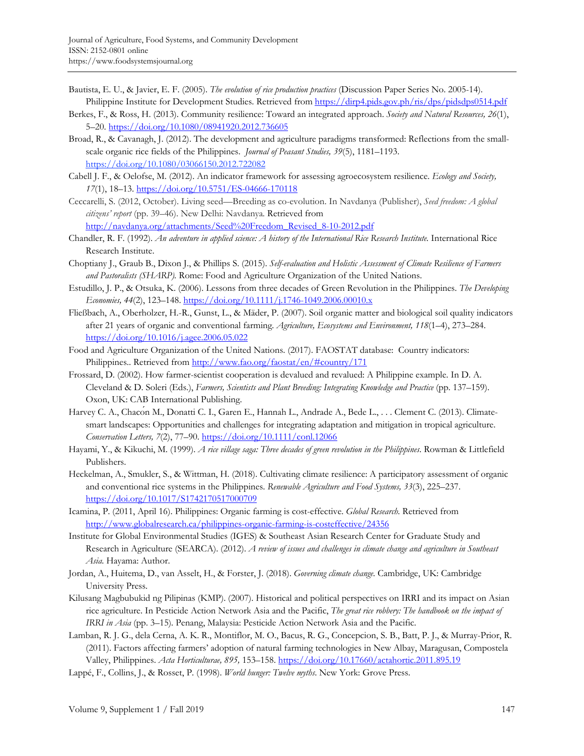- Bautista, E. U., & Javier, E. F. (2005). *The evolution of rice production practices* (Discussion Paper Series No. 2005-14)*.* Philippine Institute for Development Studies. Retrieved from https://dirp4.pids.gov.ph/ris/dps/pidsdps0514.pdf
- Berkes, F., & Ross, H. (2013). Community resilience: Toward an integrated approach. *Society and Natural Resources, 26*(1), 5–20. https://doi.org/10.1080/08941920.2012.736605
- Broad, R., & Cavanagh, J. (2012). The development and agriculture paradigms transformed: Reflections from the smallscale organic rice fields of the Philippines. *Journal of Peasant Studies, 39*(5), 1181–1193. https://doi.org/10.1080/03066150.2012.722082
- Cabell J. F., & Oelofse, M. (2012). An indicator framework for assessing agroecosystem resilience. *Ecology and Society, 17*(1), 18–13. https://doi.org/10.5751/ES-04666-170118
- Ceccarelli, S. (2012, October). Living seed—Breeding as co-evolution. In Navdanya (Publisher), *Seed freedom: A global citizens' report* (pp. 39–46). New Delhi: Navdanya*.* Retrieved from http://navdanya.org/attachments/Seed%20Freedom\_Revised\_8-10-2012.pdf
- Chandler, R. F. (1992). *An adventure in applied science: A history of the International Rice Research Institute.* International Rice Research Institute.
- Choptiany J., Graub B., Dixon J., & Phillips S. (2015). *Self-evaluation and Holistic Assessment of Climate Resilience of Farmers and Pastoralists (SHARP).* Rome: Food and Agriculture Organization of the United Nations.
- Estudillo, J. P., & Otsuka, K. (2006). Lessons from three decades of Green Revolution in the Philippines. *The Developing Economies, 44*(2), 123–148. https://doi.org/10.1111/j.1746-1049.2006.00010.x
- Fließbach, A., Oberholzer, H.-R., Gunst, L., & Mäder, P. (2007). Soil organic matter and biological soil quality indicators after 21 years of organic and conventional farming. *Agriculture, Ecosystems and Environment, 118*(1–4), 273–284. https://doi.org/10.1016/j.agee.2006.05.022
- Food and Agriculture Organization of the United Nations. (2017). FAOSTAT database: Country indicators: Philippines.. Retrieved from http://www.fao.org/faostat/en/#country/171
- Frossard, D. (2002). How farmer-scientist cooperation is devalued and revalued: A Philippine example. In D. A. Cleveland & D. Soleri (Eds.), *Farmers, Scientists and Plant Breeding: Integrating Knowledge and Practice* (pp. 137–159). Oxon, UK: CAB International Publishing.
- Harvey C. A., Chacon M., Donatti C. I., Garen E., Hannah L., Andrade A., Bede L., . . . Clement C. (2013). Climatesmart landscapes: Opportunities and challenges for integrating adaptation and mitigation in tropical agriculture. *Conservation Letters, 7*(2), 77–90. https://doi.org/10.1111/conl.12066
- Hayami, Y., & Kikuchi, M. (1999). *A rice village saga: Three decades of green revolution in the Philippines*. Rowman & Littlefield Publishers.
- Heckelman, A., Smukler, S., & Wittman, H. (2018). Cultivating climate resilience: A participatory assessment of organic and conventional rice systems in the Philippines. *Renewable Agriculture and Food Systems, 33*(3), 225–237. https://doi.org/10.1017/S1742170517000709
- Icamina, P. (2011, April 16). Philippines: Organic farming is cost-effective. *Global Research.* Retrieved from http://www.globalresearch.ca/philippines-organic-farming-is-costeffective/24356
- Institute for Global Environmental Studies (IGES) & Southeast Asian Research Center for Graduate Study and Research in Agriculture (SEARCA). (2012). *A review of issues and challenges in climate change and agriculture in Southeast Asia.* Hayama: Author.
- Jordan, A., Huitema, D., van Asselt, H., & Forster, J. (2018). *Governing climate change.* Cambridge, UK: Cambridge University Press.
- Kilusang Magbubukid ng Pilipinas (KMP). (2007). Historical and political perspectives on IRRI and its impact on Asian rice agriculture. In Pesticide Action Network Asia and the Pacific, *The great rice robbery: The handbook on the impact of IRRI in Asia* (pp. 3–15)*.* Penang, Malaysia: Pesticide Action Network Asia and the Pacific.
- Lamban, R. J. G., dela Cerna, A. K. R., Montiflor, M. O., Bacus, R. G., Concepcion, S. B., Batt, P. J., & Murray-Prior, R. (2011). Factors affecting farmers' adoption of natural farming technologies in New Albay, Maragusan, Compostela Valley, Philippines. *Acta Horticulturae, 895,* 153–158. https://doi.org/10.17660/actahortic.2011.895.19
- Lappé, F., Collins, J., & Rosset, P. (1998). *World hunger: Twelve myths*. New York: Grove Press.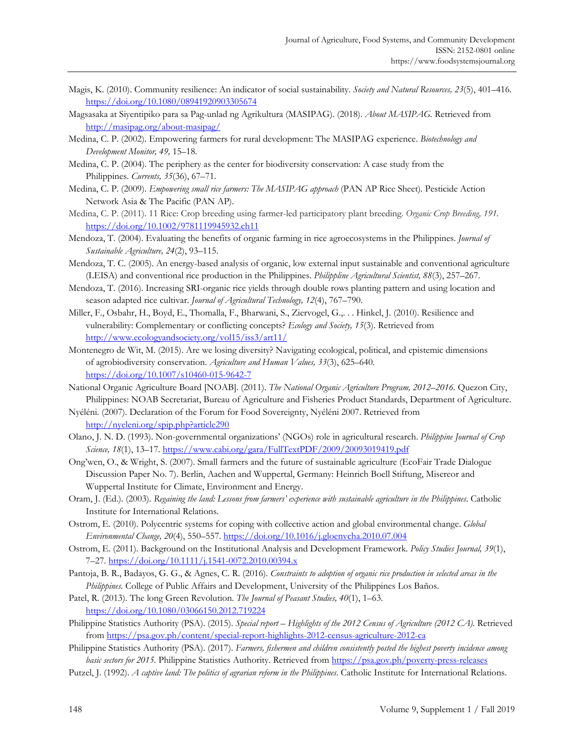- Magis, K. (2010). Community resilience: An indicator of social sustainability. *Society and Natural Resources, 23*(5), 401–416. https://doi.org/10.1080/08941920903305674
- Magsasaka at Siyentipiko para sa Pag-unlad ng Agrikultura (MASIPAG). (2018). *About MASIPAG.* Retrieved from http://masipag.org/about-masipag/
- Medina, C. P. (2002). Empowering farmers for rural development: The MASIPAG experience. *Biotechnology and Development Monitor, 49,* 15–18.
- Medina, C. P. (2004). The periphery as the center for biodiversity conservation: A case study from the Philippines. *Currents, 35*(36), 67–71.
- Medina, C. P. (2009). *Empowering small rice farmers: The MASIPAG approach* (PAN AP Rice Sheet)*.* Pesticide Action Network Asia & The Pacific (PAN AP).
- Medina, C. P. (2011). 11 Rice: Crop breeding using farmer-led participatory plant breeding. *Organic Crop Breeding, 191.* https://doi.org/10.1002/9781119945932.ch11
- Mendoza, T. (2004). Evaluating the benefits of organic farming in rice agroecosystems in the Philippines. *Journal of Sustainable Agriculture, 24*(2), 93–115.
- Mendoza, T. C. (2005). An energy-based analysis of organic, low external input sustainable and conventional agriculture (LEISA) and conventional rice production in the Philippines. *Philippline Agricultural Scientist, 88*(3), 257–267.
- Mendoza, T. (2016). Increasing SRI-organic rice yields through double rows planting pattern and using location and season adapted rice cultivar. *Journal of Agricultural Technology, 12*(4), 767–790.
- Miller, F., Osbahr, H., Boyd, E., Thomalla, F., Bharwani, S., Ziervogel, G.,. . . Hinkel, J. (2010). Resilience and vulnerability: Complementary or conflicting concepts? *Ecology and Society, 15*(3). Retrieved from http://www.ecologyandsociety.org/vol15/iss3/art11/
- Montenegro de Wit, M. (2015). Are we losing diversity? Navigating ecological, political, and epistemic dimensions of agrobiodiversity conservation. *Agriculture and Human Values, 33*(3), 625–640. https://doi.org/10.1007/s10460-015-9642-7
- National Organic Agriculture Board [NOAB]. (2011). *The National Organic Agriculture Program, 2012–2016.* Quezon City, Philippines: NOAB Secretariat, Bureau of Agriculture and Fisheries Product Standards, Department of Agriculture.
- Nyéléni. (2007). Declaration of the Forum for Food Sovereignty, Nyéléni 2007. Retrieved from http://nyeleni.org/spip.php?article290
- Olano, J. N. D. (1993). Non-governmental organizations' (NGOs) role in agricultural research. *Philippine Journal of Crop Science, 18*(1), 13–17. https://www.cabi.org/gara/FullTextPDF/2009/20093019419.pdf
- Ong'wen, O., & Wright, S. (2007). Small farmers and the future of sustainable agriculture (EcoFair Trade Dialogue Discussion Paper No. 7). Berlin, Aachen and Wuppertal, Germany: Heinrich Boell Stiftung, Misereor and Wuppertal Institute for Climate, Environment and Energy.
- Oram, J. (Ed.). (2003). *Regaining the land: Lessons from farmers' experience with sustainable agriculture in the Philippines*. Catholic Institute for International Relations.
- Ostrom, E. (2010). Polycentric systems for coping with collective action and global environmental change. *Global Environmental Change, 20*(4), 550–557. https://doi.org/10.1016/j.gloenvcha.2010.07.004
- Ostrom, E. (2011). Background on the Institutional Analysis and Development Framework. *Policy Studies Journal, 39*(1), 7–27. https://doi.org/10.1111/j.1541-0072.2010.00394.x
- Pantoja, B. R., Badayos, G. G., & Agnes, C. R. (2016). *Constraints to adoption of organic rice production in selected areas in the Philippines.* College of Public Affairs and Development, University of the Philippines Los Baños.
- Patel, R. (2013). The long Green Revolution. *The Journal of Peasant Studies, 40*(1), 1–63. https://doi.org/10.1080/03066150.2012.719224
- Philippine Statistics Authority (PSA). (2015). *Special report Highlights of the 2012 Census of Agriculture (2012 CA).* Retrieved from https://psa.gov.ph/content/special-report-highlights-2012-census-agriculture-2012-ca
- Philippine Statistics Authority (PSA). (2017). *Farmers, fishermen and children consistently posted the highest poverty incidence among basic sectors for 2015.* Philippine Statistics Authority. Retrieved from https://psa.gov.ph/poverty-press-releases
- Putzel, J. (1992). *A captive land: The politics of agrarian reform in the Philippines*. Catholic Institute for International Relations.